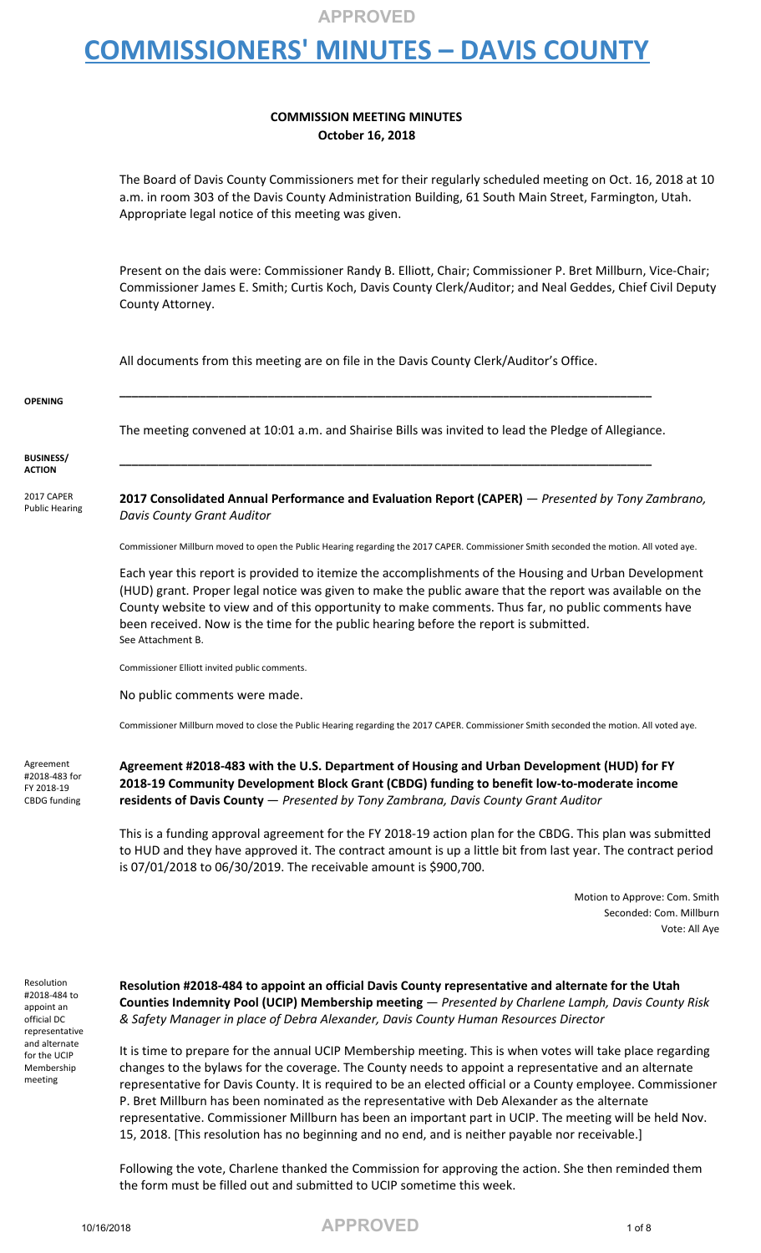## **COMMISSIONERS' MINUTES – DAVIS COUNTY**

#### **COMMISSION MEETING MINUTES October 16, 2018**

The Board of Davis County Commissioners met for their regularly scheduled meeting on Oct. 16, 2018 at 10 a.m. in room 303 of the Davis County Administration Building, 61 South Main Street, Farmington, Utah. Appropriate legal notice of this meeting was given.

Present on the dais were: Commissioner Randy B. Elliott, Chair; Commissioner P. Bret Millburn, Vice-Chair; Commissioner James E. Smith; Curtis Koch, Davis County Clerk/Auditor; and Neal Geddes, Chief Civil Deputy County Attorney.

All documents from this meeting are on file in the Davis County Clerk/Auditor's Office.

| <b>OPENING</b>                      |                                                                                                                                         |
|-------------------------------------|-----------------------------------------------------------------------------------------------------------------------------------------|
|                                     | The meeting convened at 10:01 a.m. and Shairise Bills was invited to lead the Pledge of Allegiance.                                     |
| <b>BUSINESS/</b><br><b>ACTION</b>   |                                                                                                                                         |
| 2017 CAPER<br><b>Public Hearing</b> | 2017 Consolidated Annual Performance and Evaluation Report (CAPER) - Presented by Tony Zambrano,<br><b>Davis County Grant Auditor</b>   |
|                                     | Commissioner Millburn moved to open the Public Hearing regarding the 2017 CAPER. Commissioner Smith seconded the motion. All voted aye. |
|                                     | Each year this renort is provided to itemize the accomplishments of the Housing and Urban Development                                   |

Each year this report is provided to itemize the accomplishments of the Housing and Urban Development (HUD) grant. Proper legal notice was given to make the public aware that the report was available on the County website to view and of this opportunity to make comments. Thus far, no public comments have been received. Now is the time for the public hearing before the report is submitted. See Attachment B.

Commissioner Elliott invited public comments.

No public comments were made.

Commissioner Millburn moved to close the Public Hearing regarding the 2017 CAPER. Commissioner Smith seconded the motion. All voted aye.

Agreement #2018-483 for FY 2018-19 CBDG funding **Agreement #2018-483 with the U.S. Department of Housing and Urban Development (HUD) for FY 2018-19 Community Development Block Grant (CBDG) funding to benefit low-to-moderate income residents of Davis County** — *Presented by Tony Zambrana, Davis County Grant Auditor*

This is a funding approval agreement for the FY 2018-19 action plan for the CBDG. This plan was submitted to HUD and they have approved it. The contract amount is up a little bit from last year. The contract period is 07/01/2018 to 06/30/2019. The receivable amount is \$900,700.

> Motion to Approve: Com. Smith Seconded: Com. Millburn Vote: All Aye

Resolution #2018-484 to appoint an official DC representative and alternate for the UCIP Membership meeting

**Resolution #2018-484 to appoint an official Davis County representative and alternate for the Utah Counties Indemnity Pool (UCIP) Membership meeting** — *Presented by Charlene Lamph, Davis County Risk & Safety Manager in place of Debra Alexander, Davis County Human Resources Director*

It is time to prepare for the annual UCIP Membership meeting. This is when votes will take place regarding changes to the bylaws for the coverage. The County needs to appoint a representative and an alternate representative for Davis County. It is required to be an elected official or a County employee. Commissioner P. Bret Millburn has been nominated as the representative with Deb Alexander as the alternate representative. Commissioner Millburn has been an important part in UCIP. The meeting will be held Nov. 15, 2018. [This resolution has no beginning and no end, and is neither payable nor receivable.]

Following the vote, Charlene thanked the Commission for approving the action. She then reminded them the form must be filled out and submitted to UCIP sometime this week.

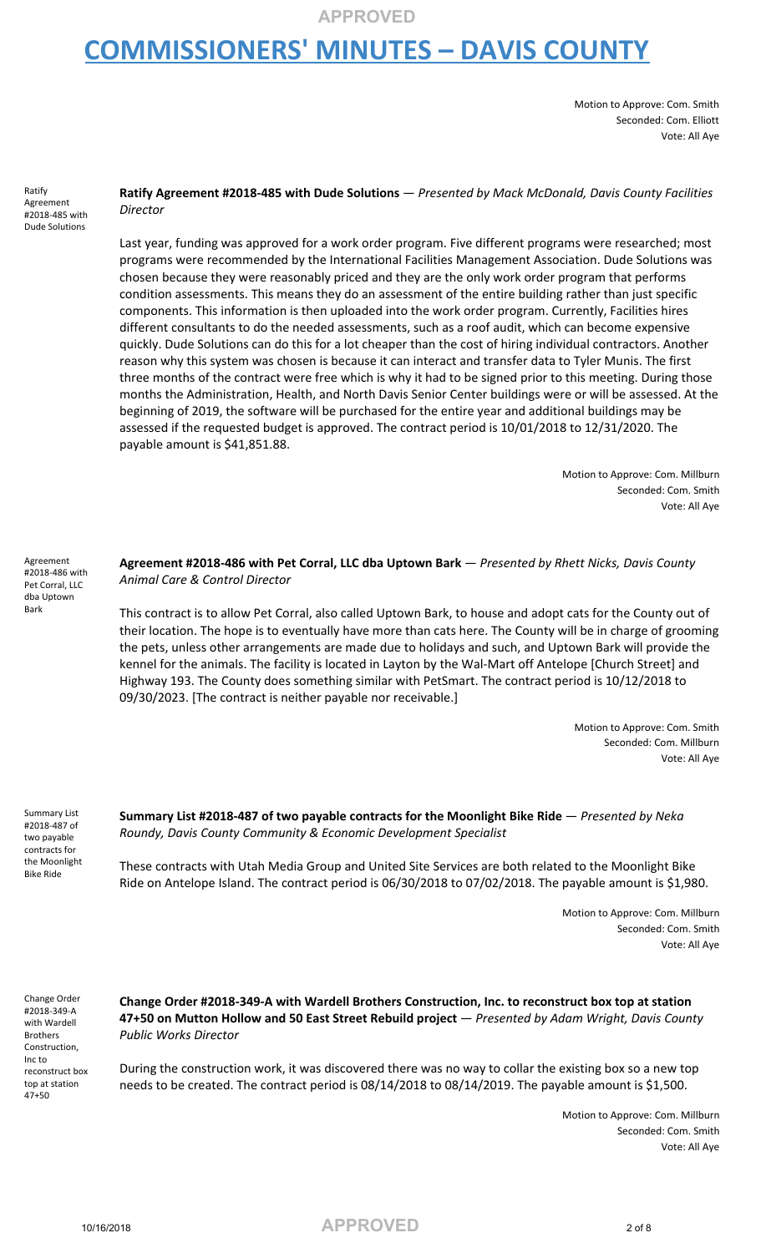# **COMMISSIONERS' MINUTES – DAVIS COUNTY**

Motion to Approve: Com. Smith Seconded: Com. Elliott Vote: All Aye

Ratify Agreement #2018-485 with Dude Solutions

**Ratify Agreement #2018-485 with Dude Solutions** — *Presented by Mack McDonald, Davis County Facilities Director*

Last year, funding was approved for a work order program. Five different programs were researched; most programs were recommended by the International Facilities Management Association. Dude Solutions was chosen because they were reasonably priced and they are the only work order program that performs condition assessments. This means they do an assessment of the entire building rather than just specific components. This information is then uploaded into the work order program. Currently, Facilities hires different consultants to do the needed assessments, such as a roof audit, which can become expensive quickly. Dude Solutions can do this for a lot cheaper than the cost of hiring individual contractors. Another reason why this system was chosen is because it can interact and transfer data to Tyler Munis. The first three months of the contract were free which is why it had to be signed prior to this meeting. During those months the Administration, Health, and North Davis Senior Center buildings were or will be assessed. At the beginning of 2019, the software will be purchased for the entire year and additional buildings may be assessed if the requested budget is approved. The contract period is 10/01/2018 to 12/31/2020. The payable amount is \$41,851.88.

> Motion to Approve: Com. Millburn Seconded: Com. Smith Vote: All Aye

Agreement #2018-486 with Pet Corral, LLC dba Uptown Bark

**Agreement #2018-486 with Pet Corral, LLC dba Uptown Bark** — *Presented by Rhett Nicks, Davis County Animal Care & Control Director*

This contract is to allow Pet Corral, also called Uptown Bark, to house and adopt cats for the County out of their location. The hope is to eventually have more than cats here. The County will be in charge of grooming the pets, unless other arrangements are made due to holidays and such, and Uptown Bark will provide the kennel for the animals. The facility is located in Layton by the Wal-Mart off Antelope [Church Street] and Highway 193. The County does something similar with PetSmart. The contract period is 10/12/2018 to 09/30/2023. [The contract is neither payable nor receivable.]

> Motion to Approve: Com. Smith Seconded: Com. Millburn Vote: All Aye

Summary List #2018-487 of two payable contracts for the Moonlight Bike Ride

**Summary List #2018-487 of two payable contracts for the Moonlight Bike Ride** — *Presented by Neka Roundy, Davis County Community & Economic Development Specialist*

These contracts with Utah Media Group and United Site Services are both related to the Moonlight Bike Ride on Antelope Island. The contract period is 06/30/2018 to 07/02/2018. The payable amount is \$1,980.

> Motion to Approve: Com. Millburn Seconded: Com. Smith Vote: All Aye

Change Order #2018-349-A with Wardell Brothers Construction, Inc to reconstruct box top at station 47+50

**Change Order #2018-349-A with Wardell Brothers Construction, Inc. to reconstruct box top at station 47+50 on Mutton Hollow and 50 East Street Rebuild project** — *Presented by Adam Wright, Davis County Public Works Director*

During the construction work, it was discovered there was no way to collar the existing box so a new top needs to be created. The contract period is 08/14/2018 to 08/14/2019. The payable amount is \$1,500.

> Motion to Approve: Com. Millburn Seconded: Com. Smith Vote: All Aye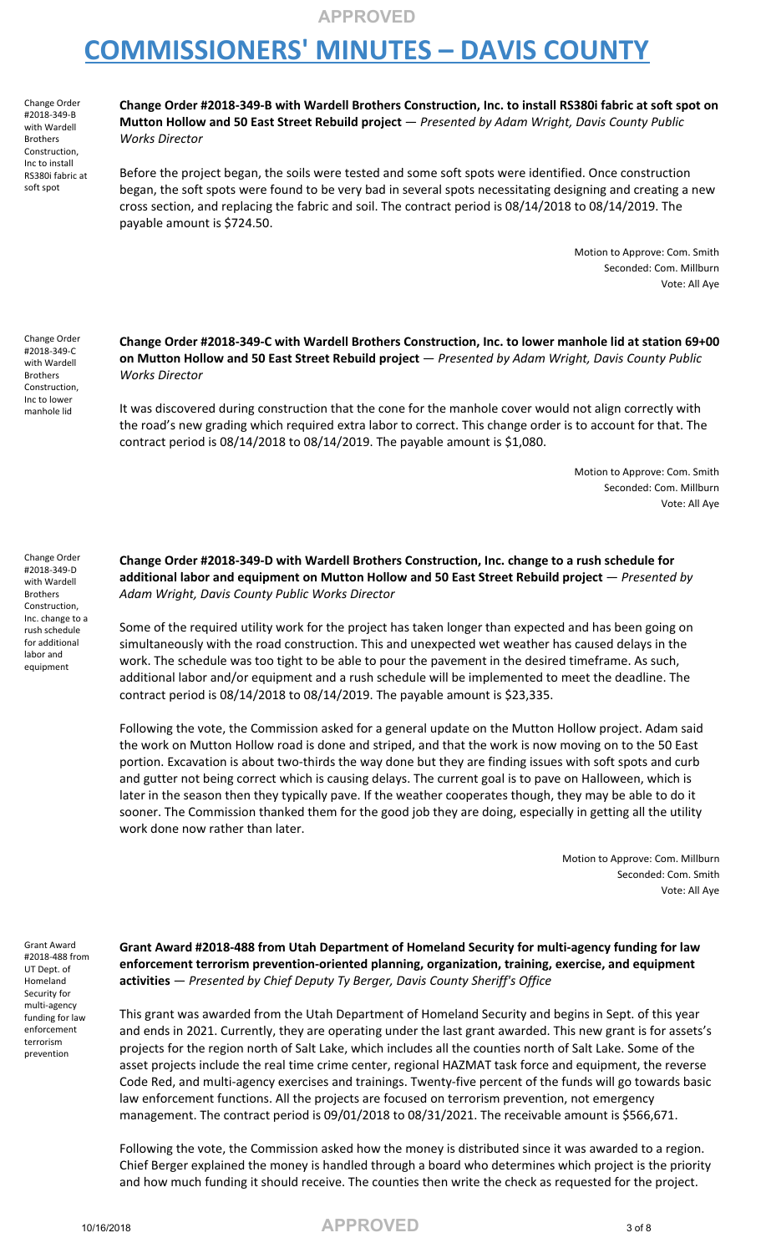### **COMMISSIONERS' MINUTES – DAVIS COUNTY**

Change Order #2018-349-B with Wardell Brothers Construction, Inc to install RS380i fabric at soft spot

**Change Order #2018-349-B with Wardell Brothers Construction, Inc. to install RS380i fabric at soft spot on Mutton Hollow and 50 East Street Rebuild project** — *Presented by Adam Wright, Davis County Public Works Director*

Before the project began, the soils were tested and some soft spots were identified. Once construction began, the soft spots were found to be very bad in several spots necessitating designing and creating a new cross section, and replacing the fabric and soil. The contract period is 08/14/2018 to 08/14/2019. The payable amount is \$724.50.

> Motion to Approve: Com. Smith Seconded: Com. Millburn Vote: All Aye

Change Order #2018-349-C with Wardell Brothers Construction, Inc to lower manhole lid

**Change Order #2018-349-C with Wardell Brothers Construction, Inc. to lower manhole lid at station 69+00 on Mutton Hollow and 50 East Street Rebuild project** — *Presented by Adam Wright, Davis County Public Works Director*

It was discovered during construction that the cone for the manhole cover would not align correctly with the road's new grading which required extra labor to correct. This change order is to account for that. The contract period is 08/14/2018 to 08/14/2019. The payable amount is \$1,080.

> Motion to Approve: Com. Smith Seconded: Com. Millburn Vote: All Aye

Change Order #2018-349-D with Wardell Brothers Construction, Inc. change to a rush schedule for additional labor and equipment

**Change Order #2018-349-D with Wardell Brothers Construction, Inc. change to a rush schedule for additional labor and equipment on Mutton Hollow and 50 East Street Rebuild project** — *Presented by Adam Wright, Davis County Public Works Director*

Some of the required utility work for the project has taken longer than expected and has been going on simultaneously with the road construction. This and unexpected wet weather has caused delays in the work. The schedule was too tight to be able to pour the pavement in the desired timeframe. As such, additional labor and/or equipment and a rush schedule will be implemented to meet the deadline. The contract period is 08/14/2018 to 08/14/2019. The payable amount is \$23,335.

Following the vote, the Commission asked for a general update on the Mutton Hollow project. Adam said the work on Mutton Hollow road is done and striped, and that the work is now moving on to the 50 East portion. Excavation is about two-thirds the way done but they are finding issues with soft spots and curb and gutter not being correct which is causing delays. The current goal is to pave on Halloween, which is later in the season then they typically pave. If the weather cooperates though, they may be able to do it sooner. The Commission thanked them for the good job they are doing, especially in getting all the utility work done now rather than later.

> Motion to Approve: Com. Millburn Seconded: Com. Smith Vote: All Aye

Grant Award #2018-488 from UT Dept. of Homeland Security for multi-agency funding for law enforcement terrorism prevention

**Grant Award #2018-488 from Utah Department of Homeland Security for multi-agency funding for law enforcement terrorism prevention-oriented planning, organization, training, exercise, and equipment activities** — *Presented by Chief Deputy Ty Berger, Davis County Sheriff's Office*

This grant was awarded from the Utah Department of Homeland Security and begins in Sept. of this year and ends in 2021. Currently, they are operating under the last grant awarded. This new grant is for assets's projects for the region north of Salt Lake, which includes all the counties north of Salt Lake. Some of the asset projects include the real time crime center, regional HAZMAT task force and equipment, the reverse Code Red, and multi-agency exercises and trainings. Twenty-five percent of the funds will go towards basic law enforcement functions. All the projects are focused on terrorism prevention, not emergency management. The contract period is 09/01/2018 to 08/31/2021. The receivable amount is \$566,671.

Following the vote, the Commission asked how the money is distributed since it was awarded to a region. Chief Berger explained the money is handled through a board who determines which project is the priority and how much funding it should receive. The counties then write the check as requested for the project.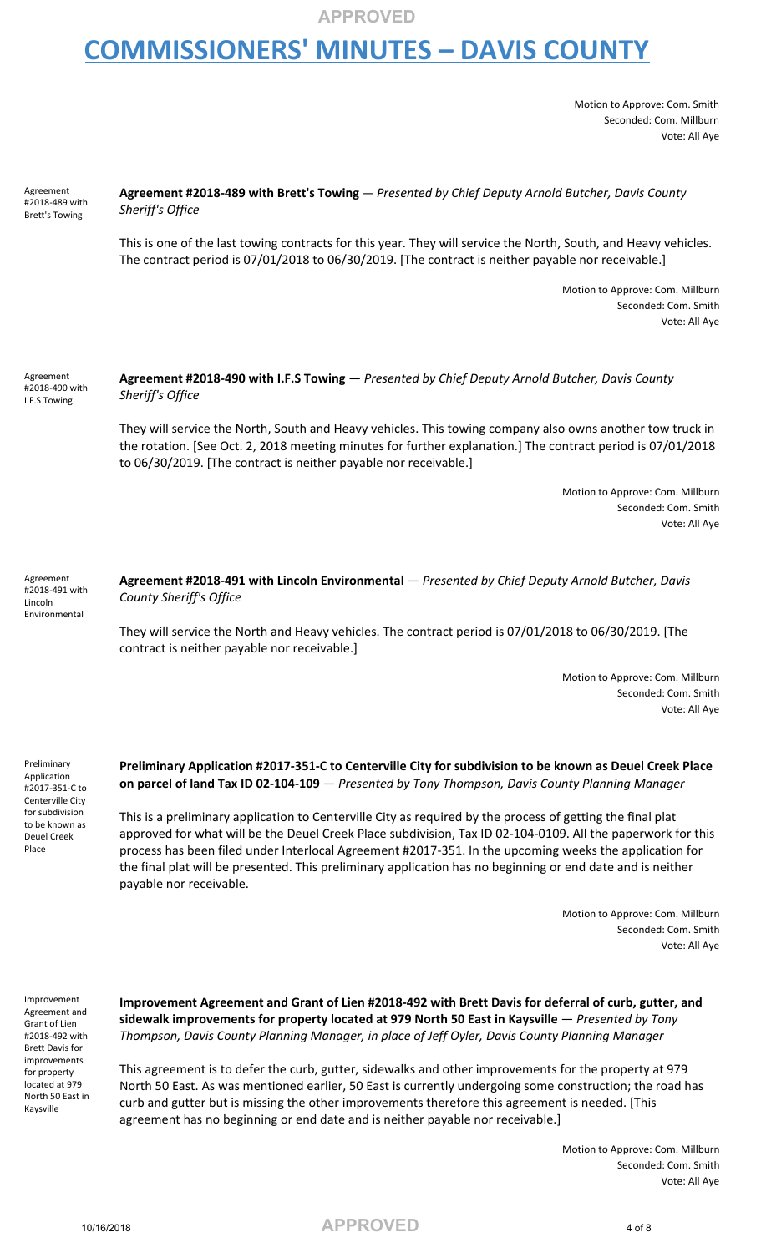## **COMMISSIONERS' MINUTES – DAVIS COUNTY**

Motion to Approve: Com. Smith Seconded: Com. Millburn Vote: All Aye

| Agreement<br>#2018-489 with<br><b>Brett's Towing</b>    | Agreement #2018-489 with Brett's Towing - Presented by Chief Deputy Arnold Butcher, Davis County<br>Sheriff's Office                                                                                                                                                                         |
|---------------------------------------------------------|----------------------------------------------------------------------------------------------------------------------------------------------------------------------------------------------------------------------------------------------------------------------------------------------|
|                                                         | This is one of the last towing contracts for this year. They will service the North, South, and Heavy vehicles.<br>The contract period is 07/01/2018 to 06/30/2019. [The contract is neither payable nor receivable.]                                                                        |
|                                                         | Motion to Approve: Com. Millburn<br>Seconded: Com. Smith<br>Vote: All Aye                                                                                                                                                                                                                    |
| Agreement<br>#2018-490 with<br>I.F.S Towing             | Agreement #2018-490 with I.F.S Towing - Presented by Chief Deputy Arnold Butcher, Davis County<br>Sheriff's Office                                                                                                                                                                           |
|                                                         | They will service the North, South and Heavy vehicles. This towing company also owns another tow truck in<br>the rotation. [See Oct. 2, 2018 meeting minutes for further explanation.] The contract period is 07/01/2018<br>to 06/30/2019. [The contract is neither payable nor receivable.] |
|                                                         | Motion to Approve: Com. Millburn<br>Seconded: Com. Smith<br>Vote: All Aye                                                                                                                                                                                                                    |
| Agreement<br>#2018-491 with<br>Lincoln<br>Environmental | Agreement #2018-491 with Lincoln Environmental - Presented by Chief Deputy Arnold Butcher, Davis<br>County Sheriff's Office                                                                                                                                                                  |
|                                                         | They will service the North and Heavy vehicles. The contract period is 07/01/2018 to 06/30/2019. [The<br>contract is neither payable nor receivable.]                                                                                                                                        |
|                                                         | Motion to Approve: Com. Millburn<br>Seconded: Com. Smith<br>Vote: All Aye                                                                                                                                                                                                                    |

Preliminary Application #2017-351-C to Centerville City for subdivision to be known as Deuel Creek Place

**Preliminary Application #2017-351-C to Centerville City for subdivision to be known as Deuel Creek Place on parcel of land Tax ID 02-104-109** — *Presented by Tony Thompson, Davis County Planning Manager*

This is a preliminary application to Centerville City as required by the process of getting the final plat approved for what will be the Deuel Creek Place subdivision, Tax ID 02-104-0109. All the paperwork for this process has been filed under Interlocal Agreement #2017-351. In the upcoming weeks the application for the final plat will be presented. This preliminary application has no beginning or end date and is neither payable nor receivable.

> Motion to Approve: Com. Millburn Seconded: Com. Smith Vote: All Aye

Improvement Agreement and Grant of Lien #2018-492 with Brett Davis for improvements for property located at 979 North 50 East in Kaysville

**Improvement Agreement and Grant of Lien #2018-492 with Brett Davis for deferral of curb, gutter, and sidewalk improvements for property located at 979 North 50 East in Kaysville** — *Presented by Tony Thompson, Davis County Planning Manager, in place of Jeff Oyler, Davis County Planning Manager*

This agreement is to defer the curb, gutter, sidewalks and other improvements for the property at 979 North 50 East. As was mentioned earlier, 50 East is currently undergoing some construction; the road has curb and gutter but is missing the other improvements therefore this agreement is needed. [This agreement has no beginning or end date and is neither payable nor receivable.]

> Motion to Approve: Com. Millburn Seconded: Com. Smith Vote: All Aye

10/16/2018 **APPROVED** 4 of 8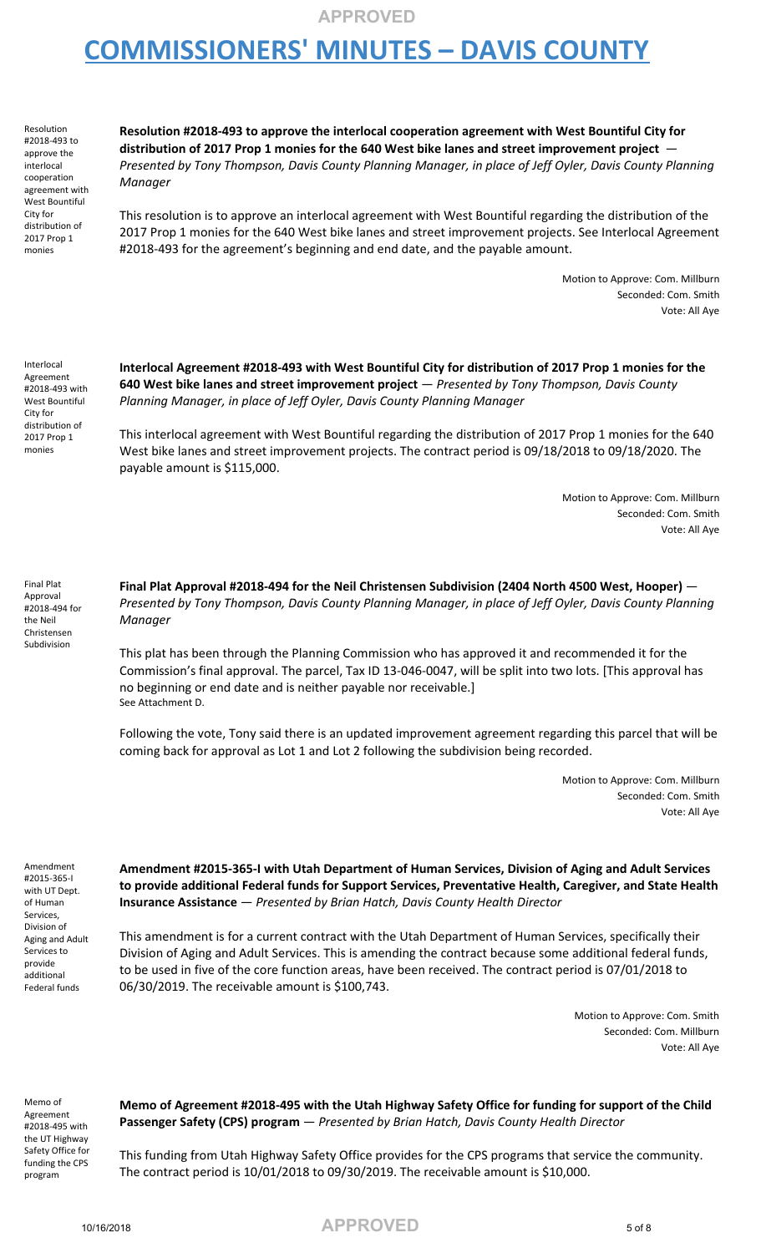## **COMMISSIONERS' MINUTES – DAVIS COUNTY**

Resolution #2018-493 to approve the interlocal cooperation agreement with West Bountiful City for distribution of 2017 Prop 1 monies

**Resolution #2018-493 to approve the interlocal cooperation agreement with West Bountiful City for distribution of 2017 Prop 1 monies for the 640 West bike lanes and street improvement project** — *Presented by Tony Thompson, Davis County Planning Manager, in place of Jeff Oyler, Davis County Planning Manager*

This resolution is to approve an interlocal agreement with West Bountiful regarding the distribution of the 2017 Prop 1 monies for the 640 West bike lanes and street improvement projects. See Interlocal Agreement #2018-493 for the agreement's beginning and end date, and the payable amount.

> Motion to Approve: Com. Millburn Seconded: Com. Smith Vote: All Aye

Interlocal Agreement #2018-493 with West Bountiful City for distribution of 2017 Prop 1 monies

**Interlocal Agreement #2018-493 with West Bountiful City for distribution of 2017 Prop 1 monies for the 640 West bike lanes and street improvement project** — *Presented by Tony Thompson, Davis County Planning Manager, in place of Jeff Oyler, Davis County Planning Manager*

This interlocal agreement with West Bountiful regarding the distribution of 2017 Prop 1 monies for the 640 West bike lanes and street improvement projects. The contract period is 09/18/2018 to 09/18/2020. The payable amount is \$115,000.

> Motion to Approve: Com. Millburn Seconded: Com. Smith Vote: All Aye

Final Plat Approval #2018-494 for the Neil Christensen Subdivision

**Final Plat Approval #2018-494 for the Neil Christensen Subdivision (2404 North 4500 West, Hooper)** — *Presented by Tony Thompson, Davis County Planning Manager, in place of Jeff Oyler, Davis County Planning Manager*

This plat has been through the Planning Commission who has approved it and recommended it for the Commission's final approval. The parcel, Tax ID 13-046-0047, will be split into two lots. [This approval has no beginning or end date and is neither payable nor receivable.] See Attachment D.

Following the vote, Tony said there is an updated improvement agreement regarding this parcel that will be coming back for approval as Lot 1 and Lot 2 following the subdivision being recorded.

> Motion to Approve: Com. Millburn Seconded: Com. Smith Vote: All Aye

Amendment #2015-365-I with UT Dept. of Human Services, Division of Aging and Adult Services to provide additional Federal funds

**Amendment #2015-365-I with Utah Department of Human Services, Division of Aging and Adult Services to provide additional Federal funds for Support Services, Preventative Health, Caregiver, and State Health Insurance Assistance** — *Presented by Brian Hatch, Davis County Health Director*

This amendment is for a current contract with the Utah Department of Human Services, specifically their Division of Aging and Adult Services. This is amending the contract because some additional federal funds, to be used in five of the core function areas, have been received. The contract period is 07/01/2018 to 06/30/2019. The receivable amount is \$100,743.

> Motion to Approve: Com. Smith Seconded: Com. Millburn Vote: All Aye

Memo of Agreement #2018-495 with the UT Highway Safety Office for funding the CPS program

**Memo of Agreement #2018-495 with the Utah Highway Safety Office for funding for support of the Child Passenger Safety (CPS) program** — *Presented by Brian Hatch, Davis County Health Director*

This funding from Utah Highway Safety Office provides for the CPS programs that service the community. The contract period is 10/01/2018 to 09/30/2019. The receivable amount is \$10,000.

10/16/2018 **APPROVED** 5 of 8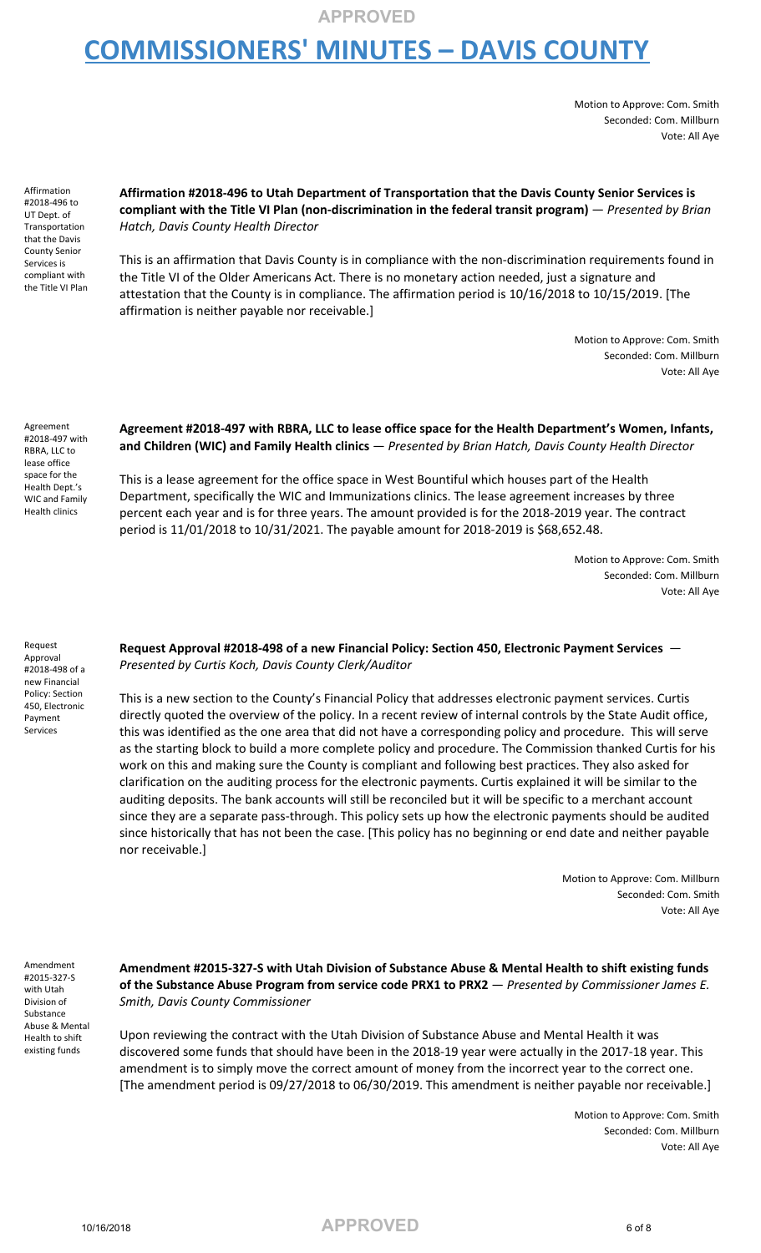## **COMMISSIONERS' MINUTES – DAVIS COUNTY**

Motion to Approve: Com. Smith Seconded: Com. Millburn Vote: All Aye

Affirmation #2018-496 to UT Dept. of Transportation that the Davis County Senior Services is compliant with the Title VI Plan

#### **Affirmation #2018-496 to Utah Department of Transportation that the Davis County Senior Services is compliant with the Title VI Plan (non-discrimination in the federal transit program)** — *Presented by Brian Hatch, Davis County Health Director*

This is an affirmation that Davis County is in compliance with the non-discrimination requirements found in the Title VI of the Older Americans Act. There is no monetary action needed, just a signature and attestation that the County is in compliance. The affirmation period is 10/16/2018 to 10/15/2019. [The affirmation is neither payable nor receivable.]

> Motion to Approve: Com. Smith Seconded: Com. Millburn Vote: All Aye

Agreement #2018-497 with RBRA, LLC to lease office space for the Health Dept.'s WIC and Family Health clinics

#### **Agreement #2018-497 with RBRA, LLC to lease office space for the Health Department's Women, Infants, and Children (WIC) and Family Health clinics** — *Presented by Brian Hatch, Davis County Health Director*

This is a lease agreement for the office space in West Bountiful which houses part of the Health Department, specifically the WIC and Immunizations clinics. The lease agreement increases by three percent each year and is for three years. The amount provided is for the 2018-2019 year. The contract period is 11/01/2018 to 10/31/2021. The payable amount for 2018-2019 is \$68,652.48.

> Motion to Approve: Com. Smith Seconded: Com. Millburn Vote: All Aye

Request Approval #2018-498 of a new Financial Policy: Section 450, Electronic Payment Services

#### **Request Approval #2018-498 of a new Financial Policy: Section 450, Electronic Payment Services** — *Presented by Curtis Koch, Davis County Clerk/Auditor*

This is a new section to the County's Financial Policy that addresses electronic payment services. Curtis directly quoted the overview of the policy. In a recent review of internal controls by the State Audit office, this was identified as the one area that did not have a corresponding policy and procedure. This will serve as the starting block to build a more complete policy and procedure. The Commission thanked Curtis for his work on this and making sure the County is compliant and following best practices. They also asked for clarification on the auditing process for the electronic payments. Curtis explained it will be similar to the auditing deposits. The bank accounts will still be reconciled but it will be specific to a merchant account since they are a separate pass-through. This policy sets up how the electronic payments should be audited since historically that has not been the case. [This policy has no beginning or end date and neither payable nor receivable.]

> Motion to Approve: Com. Millburn Seconded: Com. Smith Vote: All Aye

Amendment #2015-327-S with Utah Division of Substance Abuse & Mental Health to shift existing funds

**Amendment #2015-327-S with Utah Division of Substance Abuse & Mental Health to shift existing funds of the Substance Abuse Program from service code PRX1 to PRX2** — *Presented by Commissioner James E. Smith, Davis County Commissioner*

Upon reviewing the contract with the Utah Division of Substance Abuse and Mental Health it was discovered some funds that should have been in the 2018-19 year were actually in the 2017-18 year. This amendment is to simply move the correct amount of money from the incorrect year to the correct one. [The amendment period is 09/27/2018 to 06/30/2019. This amendment is neither payable nor receivable.]

> Motion to Approve: Com. Smith Seconded: Com. Millburn Vote: All Aye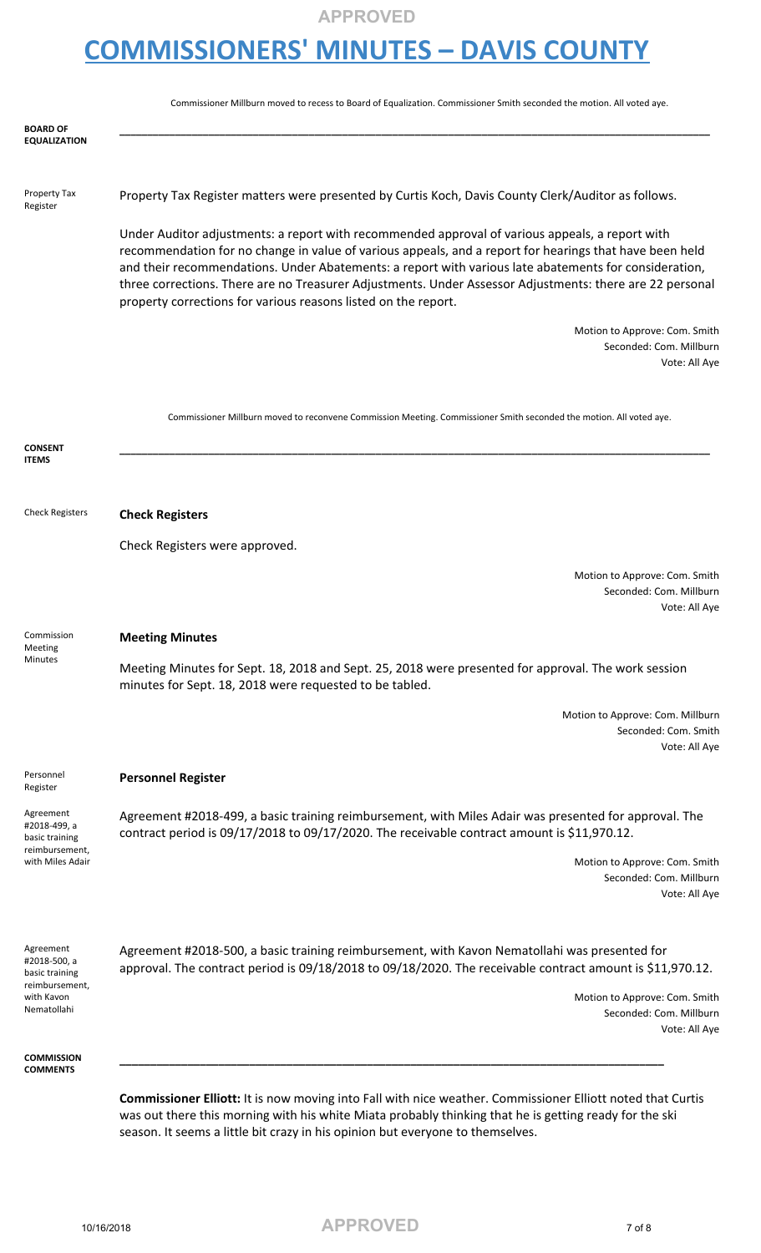# **COMMISSIONERS' MINUTES – DAVIS COUNTY**

|                                                                                            | Commissioner Millburn moved to recess to Board of Equalization. Commissioner Smith seconded the motion. All voted aye.                                                                                                                                                                                                                                                                                                                                                                            |
|--------------------------------------------------------------------------------------------|---------------------------------------------------------------------------------------------------------------------------------------------------------------------------------------------------------------------------------------------------------------------------------------------------------------------------------------------------------------------------------------------------------------------------------------------------------------------------------------------------|
| BOARD OF<br>EQUALIZATION                                                                   |                                                                                                                                                                                                                                                                                                                                                                                                                                                                                                   |
| Property Tax<br>Register                                                                   | Property Tax Register matters were presented by Curtis Koch, Davis County Clerk/Auditor as follows.                                                                                                                                                                                                                                                                                                                                                                                               |
|                                                                                            | Under Auditor adjustments: a report with recommended approval of various appeals, a report with<br>recommendation for no change in value of various appeals, and a report for hearings that have been held<br>and their recommendations. Under Abatements: a report with various late abatements for consideration,<br>three corrections. There are no Treasurer Adjustments. Under Assessor Adjustments: there are 22 personal<br>property corrections for various reasons listed on the report. |
|                                                                                            | Motion to Approve: Com. Smith<br>Seconded: Com. Millburn<br>Vote: All Aye                                                                                                                                                                                                                                                                                                                                                                                                                         |
|                                                                                            | Commissioner Millburn moved to reconvene Commission Meeting. Commissioner Smith seconded the motion. All voted aye.                                                                                                                                                                                                                                                                                                                                                                               |
| <b>CONSENT</b><br><b>ITEMS</b>                                                             |                                                                                                                                                                                                                                                                                                                                                                                                                                                                                                   |
| <b>Check Registers</b>                                                                     | <b>Check Registers</b>                                                                                                                                                                                                                                                                                                                                                                                                                                                                            |
|                                                                                            | Check Registers were approved.                                                                                                                                                                                                                                                                                                                                                                                                                                                                    |
|                                                                                            | Motion to Approve: Com. Smith<br>Seconded: Com. Millburn<br>Vote: All Aye                                                                                                                                                                                                                                                                                                                                                                                                                         |
| Commission<br>Meeting                                                                      | <b>Meeting Minutes</b>                                                                                                                                                                                                                                                                                                                                                                                                                                                                            |
| Minutes                                                                                    | Meeting Minutes for Sept. 18, 2018 and Sept. 25, 2018 were presented for approval. The work session<br>minutes for Sept. 18, 2018 were requested to be tabled.                                                                                                                                                                                                                                                                                                                                    |
|                                                                                            | Motion to Approve: Com. Millburn<br>Seconded: Com. Smith<br>Vote: All Aye                                                                                                                                                                                                                                                                                                                                                                                                                         |
| Personnel<br>Register                                                                      | <b>Personnel Register</b>                                                                                                                                                                                                                                                                                                                                                                                                                                                                         |
| Agreement<br>#2018-499, a<br>basic training<br>reimbursement,                              | Agreement #2018-499, a basic training reimbursement, with Miles Adair was presented for approval. The<br>contract period is 09/17/2018 to 09/17/2020. The receivable contract amount is \$11,970.12.                                                                                                                                                                                                                                                                                              |
| with Miles Adair                                                                           | Motion to Approve: Com. Smith<br>Seconded: Com. Millburn<br>Vote: All Aye                                                                                                                                                                                                                                                                                                                                                                                                                         |
| Agreement<br>#2018-500, a<br>basic training<br>reimbursement,<br>with Kavon<br>Nematollahi | Agreement #2018-500, a basic training reimbursement, with Kavon Nematollahi was presented for<br>approval. The contract period is 09/18/2018 to 09/18/2020. The receivable contract amount is \$11,970.12.                                                                                                                                                                                                                                                                                        |
|                                                                                            | Motion to Approve: Com. Smith<br>Seconded: Com. Millburn<br>Vote: All Aye                                                                                                                                                                                                                                                                                                                                                                                                                         |
| <b>COMMISSION</b><br><b>COMMENTS</b>                                                       |                                                                                                                                                                                                                                                                                                                                                                                                                                                                                                   |
|                                                                                            | Commissioner Elliott: It is now moving into Fall with nice weather. Commissioner Elliott noted that Curtis                                                                                                                                                                                                                                                                                                                                                                                        |

was out there this morning with his white Miata probably thinking that he is getting ready for the ski season. It seems a little bit crazy in his opinion but everyone to themselves.

10/16/2018 **APPROVED** <sup>7</sup> of <sup>8</sup>